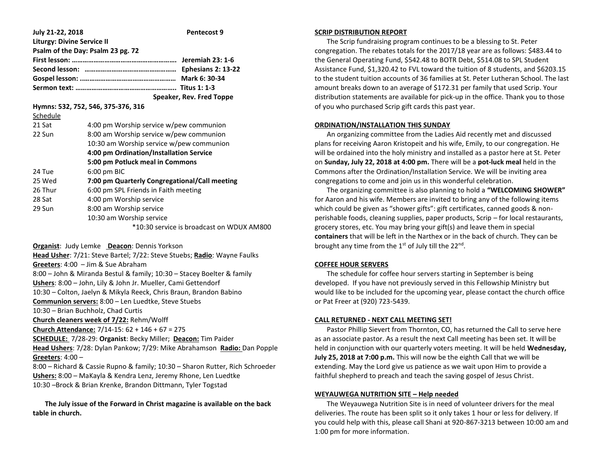| July 21-22, 2018                  | <b>Pentecost 9</b>                            |
|-----------------------------------|-----------------------------------------------|
| <b>Liturgy: Divine Service II</b> |                                               |
|                                   | Psalm of the Day: Psalm 23 pg. 72             |
|                                   |                                               |
|                                   |                                               |
|                                   |                                               |
|                                   |                                               |
|                                   | Speaker, Rev. Fred Toppe                      |
|                                   | Hymns: 532, 752, 546, 375-376, 316            |
| Schedule                          |                                               |
| 21 Sat                            | 4:00 pm Worship service w/pew communion       |
| 22 Sun                            | 8:00 am Worship service w/pew communion       |
|                                   | 10:30 am Worship service w/pew communion      |
|                                   | 4:00 pm Ordination/Installation Service       |
|                                   | 5:00 pm Potluck meal in Commons               |
| 24 Tue                            | $6:00$ pm BIC                                 |
| 25 Wed                            | 7:00 pm Quarterly Congregational/Call meeting |
| 26 Thur                           | 6:00 pm SPL Friends in Faith meeting          |
| 28 Sat                            | 4:00 pm Worship service                       |
| 29 Sun                            | 8:00 am Worship service                       |
|                                   | 10:30 am Worship service                      |
|                                   | *10:30 service is broadcast on WDUX AM800     |
|                                   |                                               |

**Organist**: Judy Lemke **Deacon**: Dennis Yorkson

**Head Usher**: 7/21: Steve Bartel; 7/22: Steve Stuebs; **Radio**: Wayne Faulks **Greeters**: 4:00 – Jim & Sue Abraham 8:00 – John & Miranda Bestul & family; 10:30 – Stacey Boelter & family **Ushers**: 8:00 – John, Lily & John Jr. Mueller, Cami Gettendorf 10:30 – Colton, Jaelyn & Mikyla Reeck, Chris Braun, Brandon Babino **Communion servers:** 8:00 – Len Luedtke, Steve Stuebs 10:30 – Brian Buchholz, Chad Curtis **Church cleaners week of 7/22:** Rehm/Wolff **Church Attendance:** 7/14-15: 62 + 146 + 67 = 275 **SCHEDULE:** 7/28-29: **Organist**: Becky Miller; **Deacon:** Tim Paider **Head Ushers**: 7/28: Dylan Pankow; 7/29: Mike Abrahamson **Radio:** Dan Popple **Greeters**: 4:00 – 8:00 – Richard & Cassie Rupno & family; 10:30 – Sharon Rutter, Rich Schroeder

10:30 –Brock & Brian Krenke, Brandon Dittmann, Tyler Togstad  **The July issue of the Forward in Christ magazine is available on the back** 

**Ushers:** 8:00 – MaKayla & Kendra Lenz, Jeremy Rhone, Len Luedtke

**table in church.**

#### **SCRIP DISTRIBUTION REPORT**

 The Scrip fundraising program continues to be a blessing to St. Peter congregation. The rebates totals for the 2017/18 year are as follows: \$483.44 to the General Operating Fund, \$542.48 to BOTR Debt, \$514.08 to SPL Student Assistance Fund, \$1,320.42 to FVL toward the tuition of 8 students, and \$6203.15 to the student tuition accounts of 36 families at St. Peter Lutheran School. The last amount breaks down to an average of \$172.31 per family that used Scrip. Your distribution statements are available for pick-up in the office. Thank you to those of you who purchased Scrip gift cards this past year.

## **ORDINATION/INSTALLATION THIS SUNDAY**

 An organizing committee from the Ladies Aid recently met and discussed plans for receiving Aaron Kristopeit and his wife, Emily, to our congregation. He will be ordained into the holy ministry and installed as a pastor here at St. Peter on **Sunday, July 22, 2018 at 4:00 pm.** There will be a **pot-luck meal** held in the Commons after the Ordination/Installation Service. We will be inviting area congregations to come and join us in this wonderful celebration.

 The organizing committee is also planning to hold a **"WELCOMING SHOWER"**  for Aaron and his wife. Members are invited to bring any of the following items which could be given as "shower gifts": gift certificates, canned goods & nonperishable foods, cleaning supplies, paper products, Scrip – for local restaurants, grocery stores, etc. You may bring your gift(s) and leave them in special **containers** that will be left in the Narthex or in the back of church. They can be brought any time from the 1<sup>st</sup> of July till the 22<sup>nd</sup>.

### **COFFEE HOUR SERVERS**

 The schedule for coffee hour servers starting in September is being developed. If you have not previously served in this Fellowship Ministry but would like to be included for the upcoming year, please contact the church office or Pat Freer at (920) 723-5439.

#### **CALL RETURNED - NEXT CALL MEETING SET!**

 Pastor Phillip Sievert from Thornton, CO, has returned the Call to serve here as an associate pastor. As a result the next Call meeting has been set. It will be held in conjunction with our quarterly voters meeting. It will be held **Wednesday, July 25, 2018 at 7:00 p.m.** This will now be the eighth Call that we will be extending. May the Lord give us patience as we wait upon Him to provide a faithful shepherd to preach and teach the saving gospel of Jesus Christ.

#### **WEYAUWEGA NUTRITION SITE – Help needed**

 The Weyauwega Nutrition Site is in need of volunteer drivers for the meal deliveries. The route has been split so it only takes 1 hour or less for delivery. If you could help with this, please call Shani at 920-867-3213 between 10:00 am and 1:00 pm for more information.